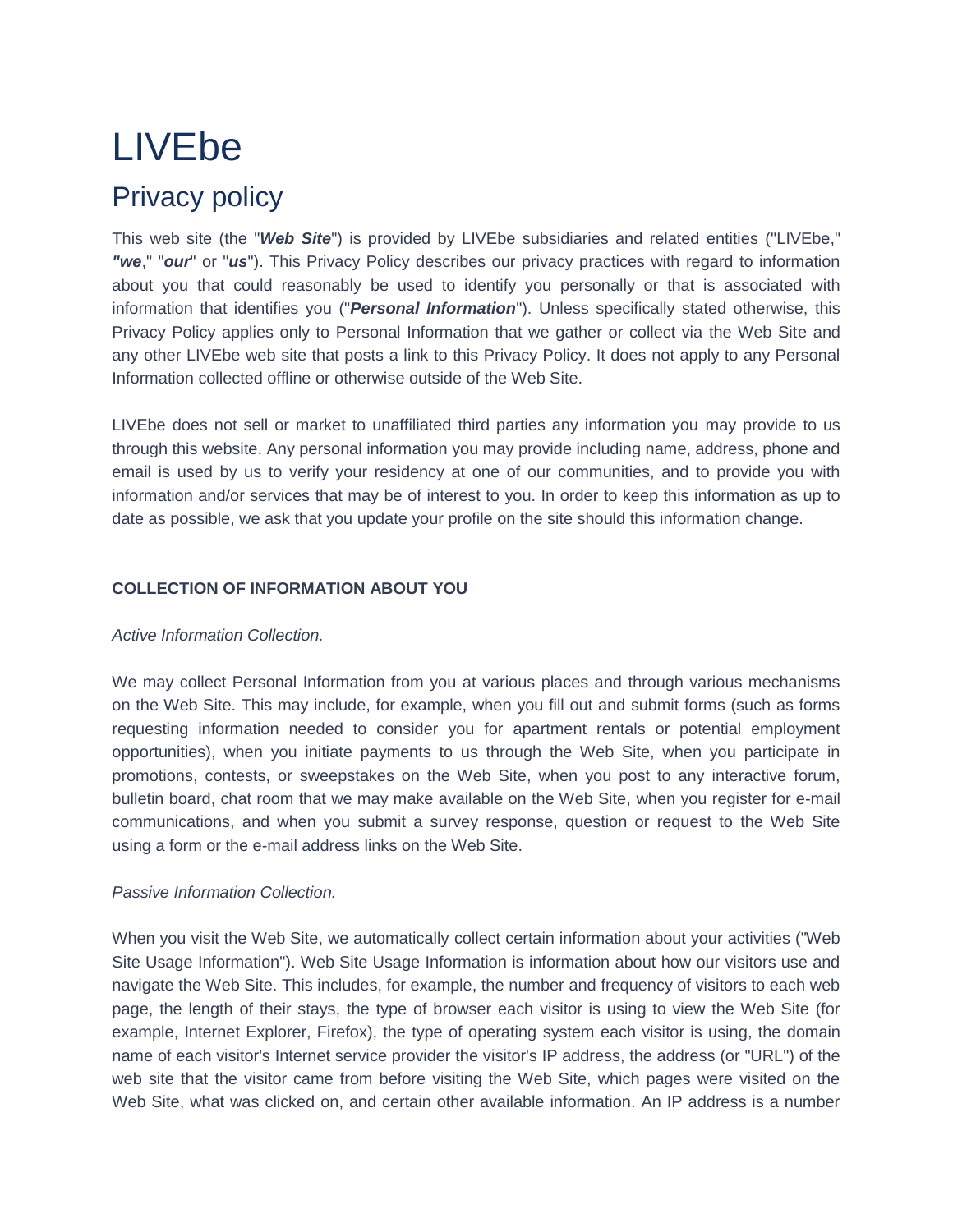# LIVEbe

# Privacy policy

This web site (the "*Web Site*") is provided by LIVEbe subsidiaries and related entities ("LIVEbe," *"we*," "*our*" or "*us*"). This Privacy Policy describes our privacy practices with regard to information about you that could reasonably be used to identify you personally or that is associated with information that identifies you ("*Personal Information*"). Unless specifically stated otherwise, this Privacy Policy applies only to Personal Information that we gather or collect via the Web Site and any other LIVEbe web site that posts a link to this Privacy Policy. It does not apply to any Personal Information collected offline or otherwise outside of the Web Site.

LIVEbe does not sell or market to unaffiliated third parties any information you may provide to us through this website. Any personal information you may provide including name, address, phone and email is used by us to verify your residency at one of our communities, and to provide you with information and/or services that may be of interest to you. In order to keep this information as up to date as possible, we ask that you update your profile on the site should this information change.

# **COLLECTION OF INFORMATION ABOUT YOU**

# *Active Information Collection.*

We may collect Personal Information from you at various places and through various mechanisms on the Web Site. This may include, for example, when you fill out and submit forms (such as forms requesting information needed to consider you for apartment rentals or potential employment opportunities), when you initiate payments to us through the Web Site, when you participate in promotions, contests, or sweepstakes on the Web Site, when you post to any interactive forum, bulletin board, chat room that we may make available on the Web Site, when you register for e-mail communications, and when you submit a survey response, question or request to the Web Site using a form or the e-mail address links on the Web Site.

# *Passive Information Collection.*

When you visit the Web Site, we automatically collect certain information about your activities ("Web Site Usage Information"). Web Site Usage Information is information about how our visitors use and navigate the Web Site. This includes, for example, the number and frequency of visitors to each web page, the length of their stays, the type of browser each visitor is using to view the Web Site (for example, Internet Explorer, Firefox), the type of operating system each visitor is using, the domain name of each visitor's Internet service provider the visitor's IP address, the address (or "URL") of the web site that the visitor came from before visiting the Web Site, which pages were visited on the Web Site, what was clicked on, and certain other available information. An IP address is a number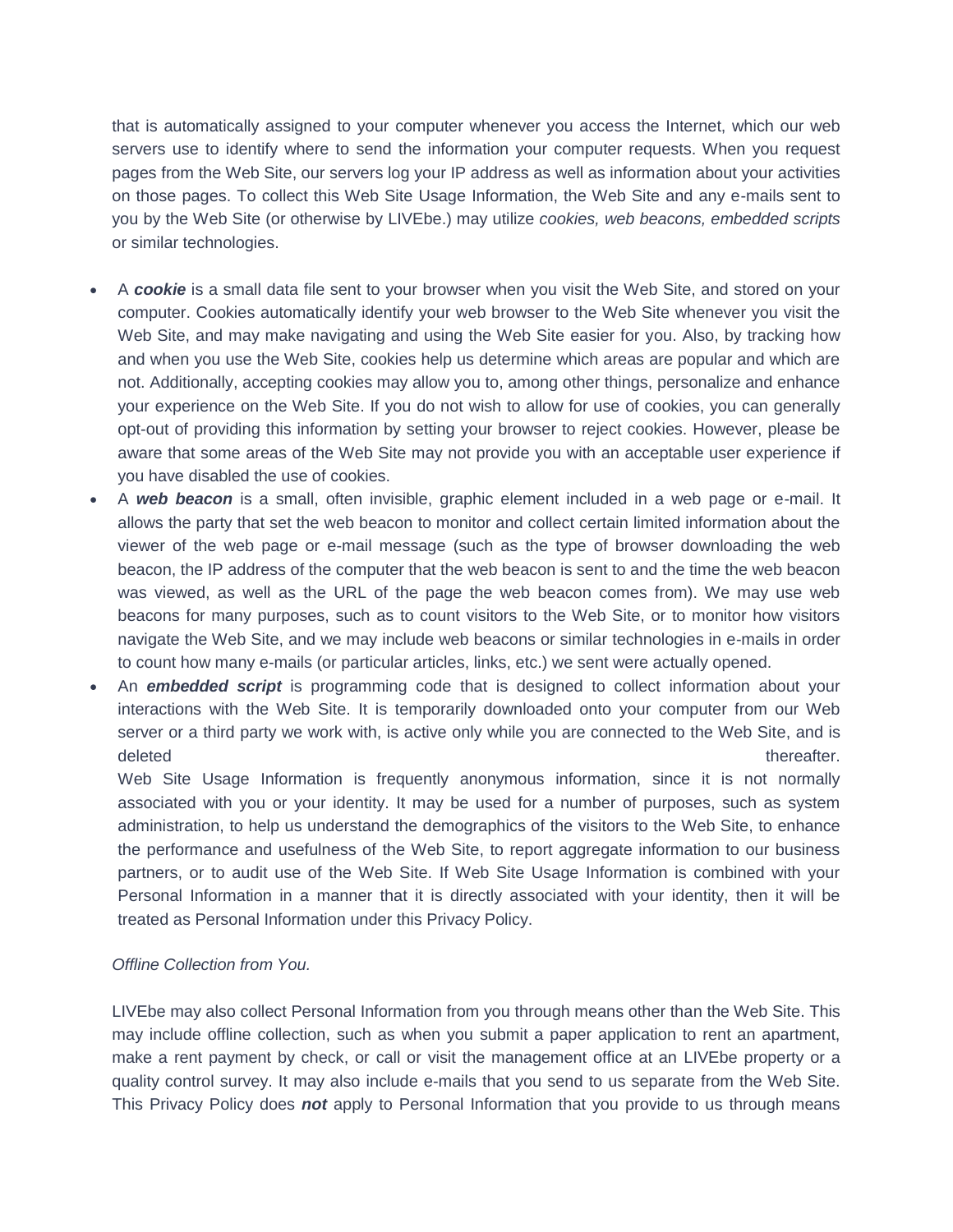that is automatically assigned to your computer whenever you access the Internet, which our web servers use to identify where to send the information your computer requests. When you request pages from the Web Site, our servers log your IP address as well as information about your activities on those pages. To collect this Web Site Usage Information, the Web Site and any e-mails sent to you by the Web Site (or otherwise by LIVEbe.) may utilize *cookies, web beacons, embedded scripts* or similar technologies.

- A *cookie* is a small data file sent to your browser when you visit the Web Site, and stored on your computer. Cookies automatically identify your web browser to the Web Site whenever you visit the Web Site, and may make navigating and using the Web Site easier for you. Also, by tracking how and when you use the Web Site, cookies help us determine which areas are popular and which are not. Additionally, accepting cookies may allow you to, among other things, personalize and enhance your experience on the Web Site. If you do not wish to allow for use of cookies, you can generally opt-out of providing this information by setting your browser to reject cookies. However, please be aware that some areas of the Web Site may not provide you with an acceptable user experience if you have disabled the use of cookies.
- A *web beacon* is a small, often invisible, graphic element included in a web page or e-mail. It allows the party that set the web beacon to monitor and collect certain limited information about the viewer of the web page or e-mail message (such as the type of browser downloading the web beacon, the IP address of the computer that the web beacon is sent to and the time the web beacon was viewed, as well as the URL of the page the web beacon comes from). We may use web beacons for many purposes, such as to count visitors to the Web Site, or to monitor how visitors navigate the Web Site, and we may include web beacons or similar technologies in e-mails in order to count how many e-mails (or particular articles, links, etc.) we sent were actually opened.
- An *embedded script* is programming code that is designed to collect information about your interactions with the Web Site. It is temporarily downloaded onto your computer from our Web server or a third party we work with, is active only while you are connected to the Web Site, and is deleted thereafter.

Web Site Usage Information is frequently anonymous information, since it is not normally associated with you or your identity. It may be used for a number of purposes, such as system administration, to help us understand the demographics of the visitors to the Web Site, to enhance the performance and usefulness of the Web Site, to report aggregate information to our business partners, or to audit use of the Web Site. If Web Site Usage Information is combined with your Personal Information in a manner that it is directly associated with your identity, then it will be treated as Personal Information under this Privacy Policy.

#### *Offline Collection from You.*

LIVEbe may also collect Personal Information from you through means other than the Web Site. This may include offline collection, such as when you submit a paper application to rent an apartment, make a rent payment by check, or call or visit the management office at an LIVEbe property or a quality control survey. It may also include e-mails that you send to us separate from the Web Site. This Privacy Policy does *not* apply to Personal Information that you provide to us through means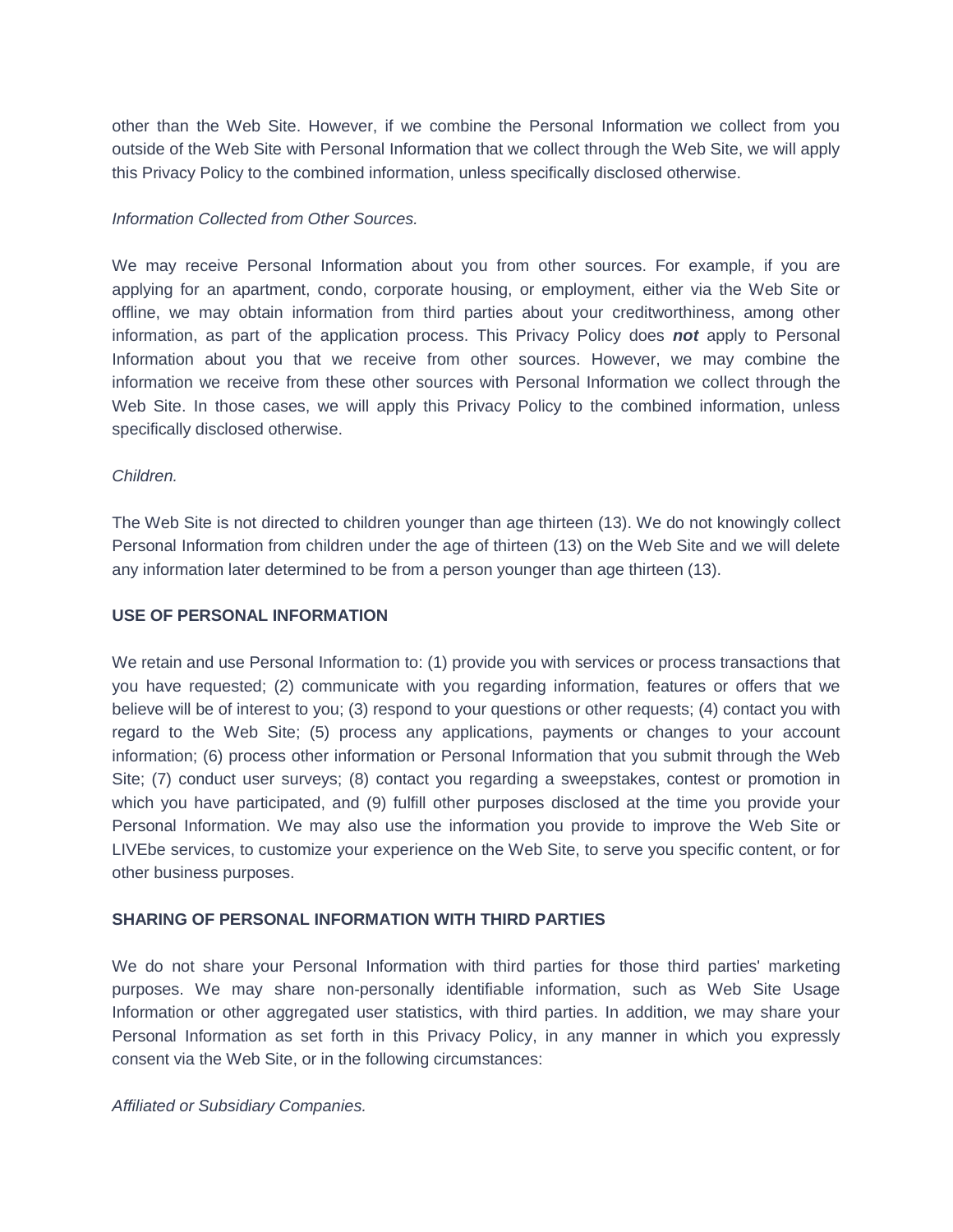other than the Web Site. However, if we combine the Personal Information we collect from you outside of the Web Site with Personal Information that we collect through the Web Site, we will apply this Privacy Policy to the combined information, unless specifically disclosed otherwise.

#### *Information Collected from Other Sources.*

We may receive Personal Information about you from other sources. For example, if you are applying for an apartment, condo, corporate housing, or employment, either via the Web Site or offline, we may obtain information from third parties about your creditworthiness, among other information, as part of the application process. This Privacy Policy does *not* apply to Personal Information about you that we receive from other sources. However, we may combine the information we receive from these other sources with Personal Information we collect through the Web Site. In those cases, we will apply this Privacy Policy to the combined information, unless specifically disclosed otherwise.

# *Children.*

The Web Site is not directed to children younger than age thirteen (13). We do not knowingly collect Personal Information from children under the age of thirteen (13) on the Web Site and we will delete any information later determined to be from a person younger than age thirteen (13).

# **USE OF PERSONAL INFORMATION**

We retain and use Personal Information to: (1) provide you with services or process transactions that you have requested; (2) communicate with you regarding information, features or offers that we believe will be of interest to you; (3) respond to your questions or other requests; (4) contact you with regard to the Web Site; (5) process any applications, payments or changes to your account information; (6) process other information or Personal Information that you submit through the Web Site; (7) conduct user surveys; (8) contact you regarding a sweepstakes, contest or promotion in which you have participated, and (9) fulfill other purposes disclosed at the time you provide your Personal Information. We may also use the information you provide to improve the Web Site or LIVEbe services, to customize your experience on the Web Site, to serve you specific content, or for other business purposes.

# **SHARING OF PERSONAL INFORMATION WITH THIRD PARTIES**

We do not share your Personal Information with third parties for those third parties' marketing purposes. We may share non-personally identifiable information, such as Web Site Usage Information or other aggregated user statistics, with third parties. In addition, we may share your Personal Information as set forth in this Privacy Policy, in any manner in which you expressly consent via the Web Site, or in the following circumstances:

#### *Affiliated or Subsidiary Companies.*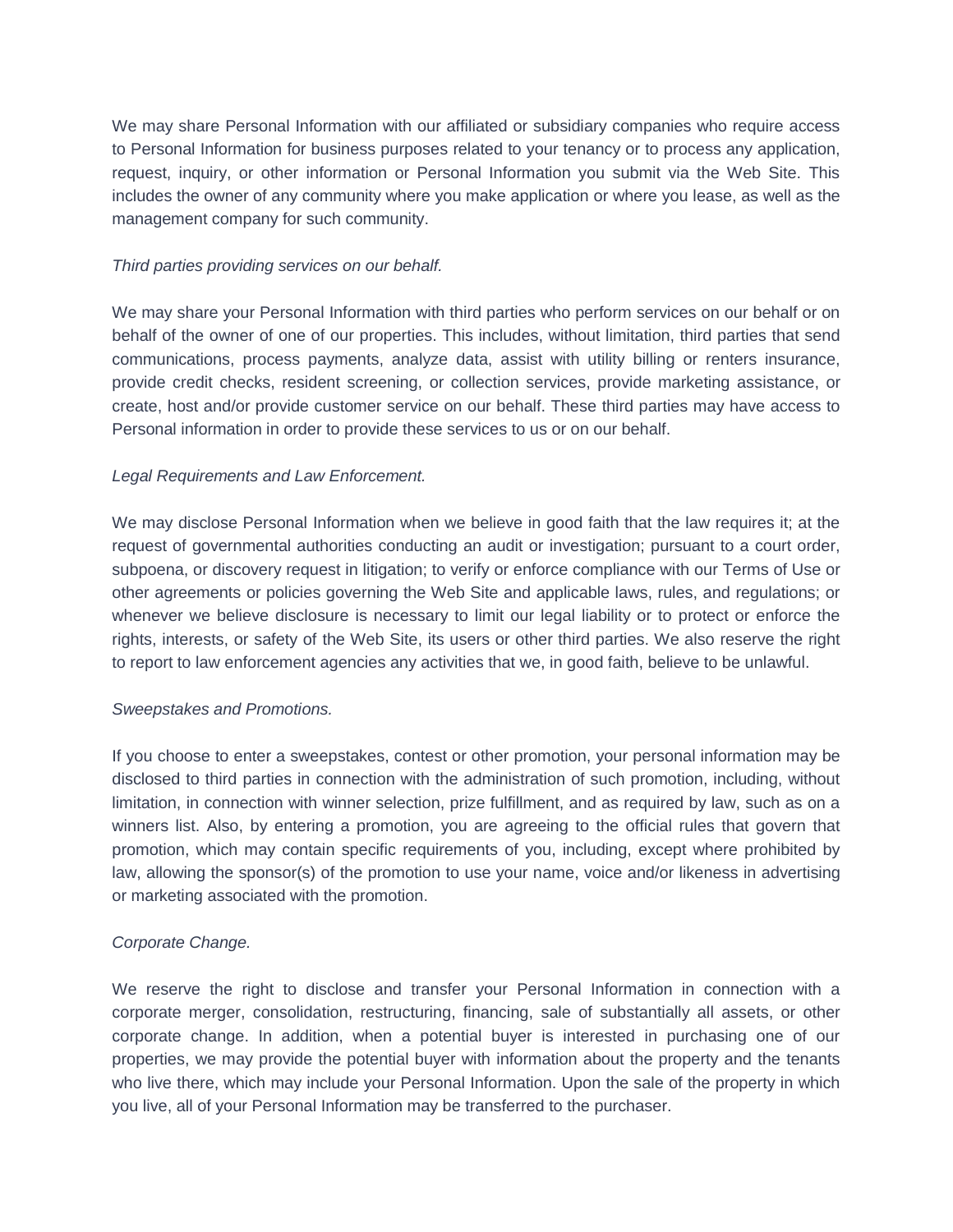We may share Personal Information with our affiliated or subsidiary companies who require access to Personal Information for business purposes related to your tenancy or to process any application, request, inquiry, or other information or Personal Information you submit via the Web Site. This includes the owner of any community where you make application or where you lease, as well as the management company for such community.

#### *Third parties providing services on our behalf.*

We may share your Personal Information with third parties who perform services on our behalf or on behalf of the owner of one of our properties. This includes, without limitation, third parties that send communications, process payments, analyze data, assist with utility billing or renters insurance, provide credit checks, resident screening, or collection services, provide marketing assistance, or create, host and/or provide customer service on our behalf. These third parties may have access to Personal information in order to provide these services to us or on our behalf.

# *Legal Requirements and Law Enforcement.*

We may disclose Personal Information when we believe in good faith that the law requires it; at the request of governmental authorities conducting an audit or investigation; pursuant to a court order, subpoena, or discovery request in litigation; to verify or enforce compliance with our Terms of Use or other agreements or policies governing the Web Site and applicable laws, rules, and regulations; or whenever we believe disclosure is necessary to limit our legal liability or to protect or enforce the rights, interests, or safety of the Web Site, its users or other third parties. We also reserve the right to report to law enforcement agencies any activities that we, in good faith, believe to be unlawful.

# *Sweepstakes and Promotions.*

If you choose to enter a sweepstakes, contest or other promotion, your personal information may be disclosed to third parties in connection with the administration of such promotion, including, without limitation, in connection with winner selection, prize fulfillment, and as required by law, such as on a winners list. Also, by entering a promotion, you are agreeing to the official rules that govern that promotion, which may contain specific requirements of you, including, except where prohibited by law, allowing the sponsor(s) of the promotion to use your name, voice and/or likeness in advertising or marketing associated with the promotion.

# *Corporate Change.*

We reserve the right to disclose and transfer your Personal Information in connection with a corporate merger, consolidation, restructuring, financing, sale of substantially all assets, or other corporate change. In addition, when a potential buyer is interested in purchasing one of our properties, we may provide the potential buyer with information about the property and the tenants who live there, which may include your Personal Information. Upon the sale of the property in which you live, all of your Personal Information may be transferred to the purchaser.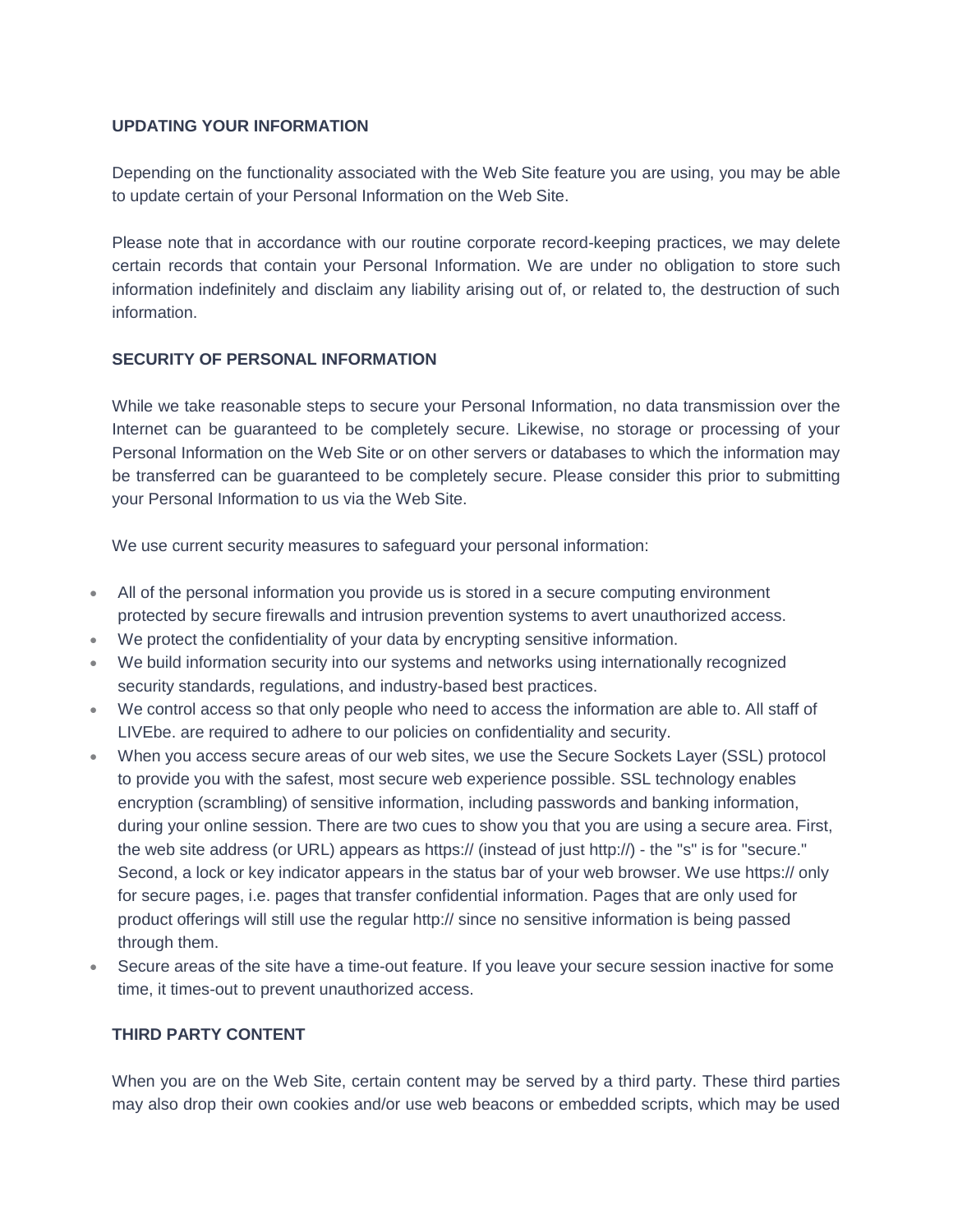#### **UPDATING YOUR INFORMATION**

Depending on the functionality associated with the Web Site feature you are using, you may be able to update certain of your Personal Information on the Web Site.

Please note that in accordance with our routine corporate record-keeping practices, we may delete certain records that contain your Personal Information. We are under no obligation to store such information indefinitely and disclaim any liability arising out of, or related to, the destruction of such information.

# **SECURITY OF PERSONAL INFORMATION**

While we take reasonable steps to secure your Personal Information, no data transmission over the Internet can be guaranteed to be completely secure. Likewise, no storage or processing of your Personal Information on the Web Site or on other servers or databases to which the information may be transferred can be guaranteed to be completely secure. Please consider this prior to submitting your Personal Information to us via the Web Site.

We use current security measures to safeguard your personal information:

- All of the personal information you provide us is stored in a secure computing environment protected by secure firewalls and intrusion prevention systems to avert unauthorized access.
- We protect the confidentiality of your data by encrypting sensitive information.
- We build information security into our systems and networks using internationally recognized security standards, regulations, and industry-based best practices.
- We control access so that only people who need to access the information are able to. All staff of LIVEbe. are required to adhere to our policies on confidentiality and security.
- When you access secure areas of our web sites, we use the Secure Sockets Layer (SSL) protocol to provide you with the safest, most secure web experience possible. SSL technology enables encryption (scrambling) of sensitive information, including passwords and banking information, during your online session. There are two cues to show you that you are using a secure area. First, the web site address (or URL) appears as https:// (instead of just http://) - the "s" is for "secure." Second, a lock or key indicator appears in the status bar of your web browser. We use https:// only for secure pages, i.e. pages that transfer confidential information. Pages that are only used for product offerings will still use the regular http:// since no sensitive information is being passed through them.
- Secure areas of the site have a time-out feature. If you leave your secure session inactive for some time, it times-out to prevent unauthorized access.

# **THIRD PARTY CONTENT**

When you are on the Web Site, certain content may be served by a third party. These third parties may also drop their own cookies and/or use web beacons or embedded scripts, which may be used